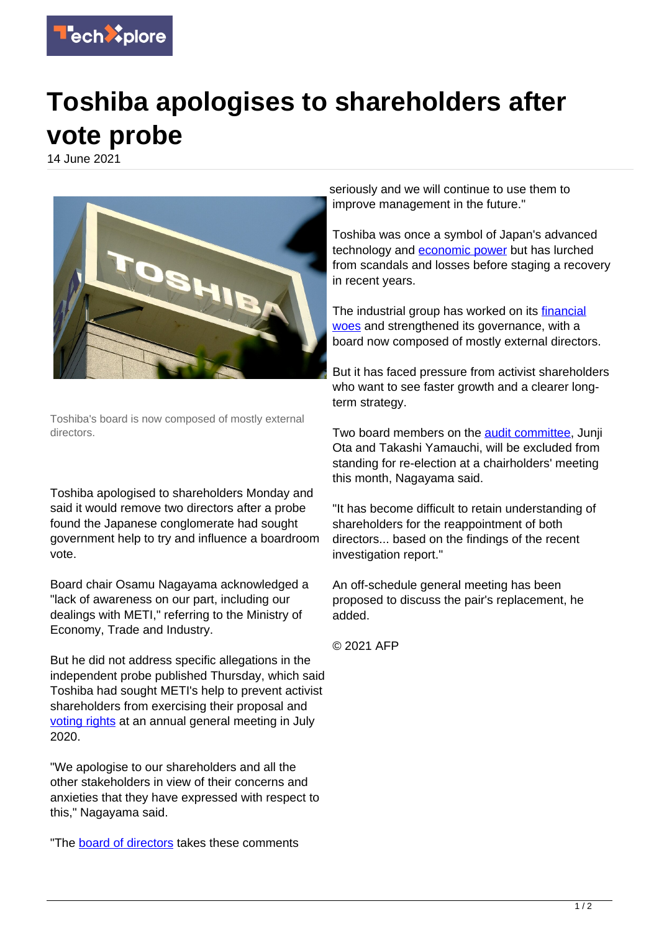

## **Toshiba apologises to shareholders after vote probe**

14 June 2021



Toshiba's board is now composed of mostly external directors.

Toshiba apologised to shareholders Monday and said it would remove two directors after a probe found the Japanese conglomerate had sought government help to try and influence a boardroom vote.

Board chair Osamu Nagayama acknowledged a "lack of awareness on our part, including our dealings with METI," referring to the Ministry of Economy, Trade and Industry.

But he did not address specific allegations in the independent probe published Thursday, which said Toshiba had sought METI's help to prevent activist shareholders from exercising their proposal and [voting rights](https://techxplore.com/tags/voting+rights/) at an annual general meeting in July 2020.

"We apologise to our shareholders and all the other stakeholders in view of their concerns and anxieties that they have expressed with respect to this," Nagayama said.

"The **board of directors** takes these comments

seriously and we will continue to use them to improve management in the future."

Toshiba was once a symbol of Japan's advanced technology and [economic power](https://techxplore.com/tags/economic+power/) but has lurched from scandals and losses before staging a recovery in recent years.

The industrial group has worked on its [financial](https://techxplore.com/tags/financial+woes/) [woes](https://techxplore.com/tags/financial+woes/) and strengthened its governance, with a board now composed of mostly external directors.

But it has faced pressure from activist shareholders who want to see faster growth and a clearer longterm strategy.

Two board members on the **audit committee**, Junji Ota and Takashi Yamauchi, will be excluded from standing for re-election at a chairholders' meeting this month, Nagayama said.

"It has become difficult to retain understanding of shareholders for the reappointment of both directors... based on the findings of the recent investigation report."

An off-schedule general meeting has been proposed to discuss the pair's replacement, he added.

© 2021 AFP